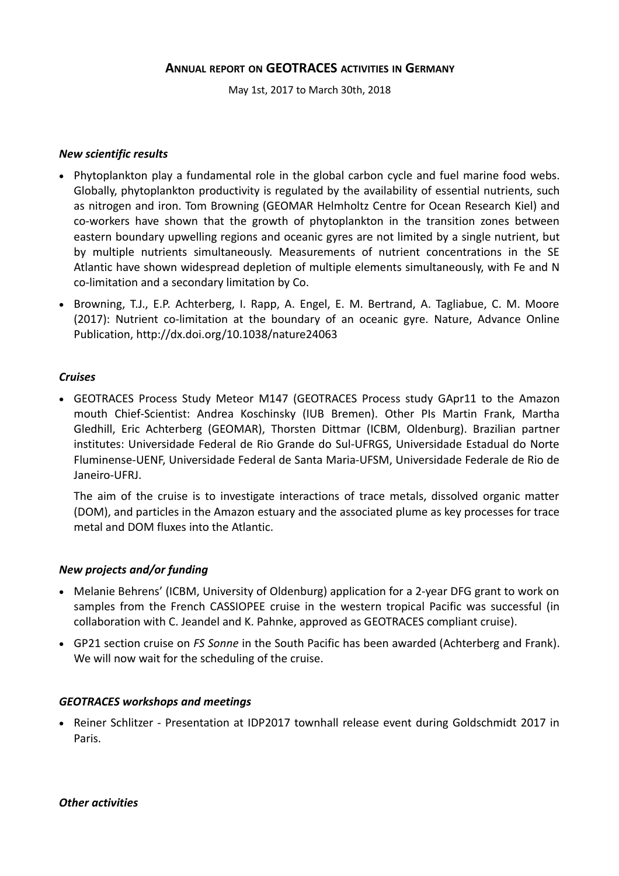# **ANNUAL REPORT ON GEOTRACES ACTIVITIES IN GERMANY**

May 1st, 2017 to March 30th, 2018

#### *New scientific results*

- Phytoplankton play a fundamental role in the global carbon cycle and fuel marine food webs. Globally, phytoplankton productivity is regulated by the availability of essential nutrients, such as nitrogen and iron. Tom Browning (GEOMAR Helmholtz Centre for Ocean Research Kiel) and co-workers have shown that the growth of phytoplankton in the transition zones between eastern boundary upwelling regions and oceanic gyres are not limited by a single nutrient, but by multiple nutrients simultaneously. Measurements of nutrient concentrations in the SE Atlantic have shown widespread depletion of multiple elements simultaneously, with Fe and N co-limitation and a secondary limitation by Co.
- Browning, T.J., E.P. Achterberg, I. Rapp, A. Engel, E. M. Bertrand, A. Tagliabue, C. M. Moore (2017): Nutrient co-limitation at the boundary of an oceanic gyre. Nature, Advance Online Publication, http://dx.doi.org/10.1038/nature24063

#### *Cruises*

 GEOTRACES Process Study Meteor M147 (GEOTRACES Process study GApr11 to the Amazon mouth Chief-Scientist: Andrea Koschinsky (IUB Bremen). Other PIs Martin Frank, Martha Gledhill, Eric Achterberg (GEOMAR), Thorsten Dittmar (ICBM, Oldenburg). Brazilian partner institutes: Universidade Federal de Rio Grande do Sul-UFRGS, Universidade Estadual do Norte Fluminense-UENF, Universidade Federal de Santa Maria-UFSM, Universidade Federale de Rio de Janeiro-UFRJ.

The aim of the cruise is to investigate interactions of trace metals, dissolved organic matter (DOM), and particles in the Amazon estuary and the associated plume as key processes for trace metal and DOM fluxes into the Atlantic.

#### *New projects and/or funding*

- Melanie Behrens' (ICBM, University of Oldenburg) application for a 2-year DFG grant to work on samples from the French CASSIOPEE cruise in the western tropical Pacific was successful (in collaboration with C. Jeandel and K. Pahnke, approved as GEOTRACES compliant cruise).
- GP21 section cruise on *FS Sonne* in the South Pacific has been awarded (Achterberg and Frank). We will now wait for the scheduling of the cruise.

#### *GEOTRACES workshops and meetings*

• Reiner Schlitzer - Presentation at IDP2017 townhall release event during Goldschmidt 2017 in Paris.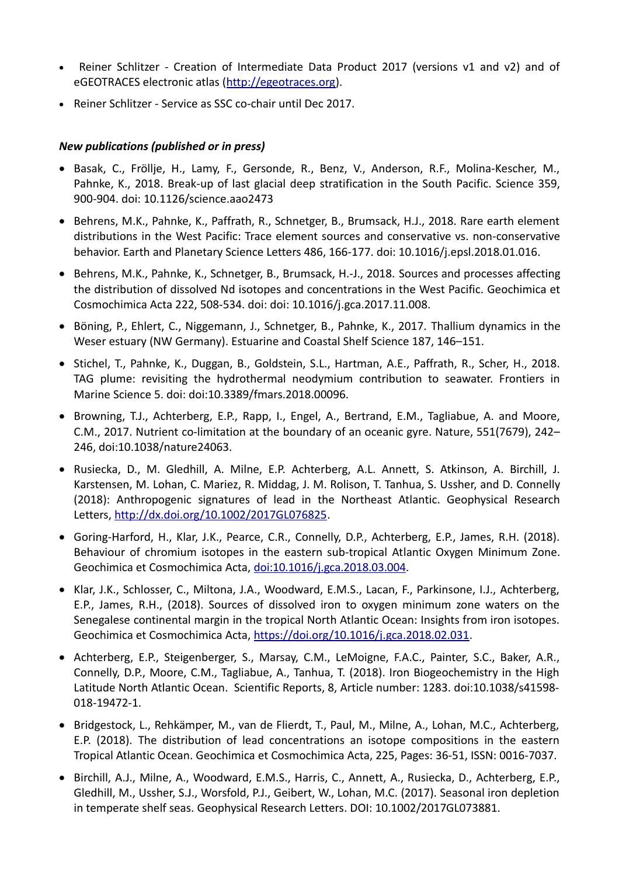- Reiner Schlitzer Creation of Intermediate Data Product 2017 (versions v1 and v2) and of eGEOTRACES electronic atlas [\(http://egeotraces.org\)](http://egeotraces.org/).
- Reiner Schlitzer Service as SSC co-chair until Dec 2017.

# *New publications (published or in press)*

- Basak, C., Fröllje, H., Lamy, F., Gersonde, R., Benz, V., Anderson, R.F., Molina-Kescher, M., Pahnke, K., 2018. Break-up of last glacial deep stratification in the South Pacific. Science 359, 900-904. doi: 10.1126/science.aao2473
- Behrens, M.K., Pahnke, K., Paffrath, R., Schnetger, B., Brumsack, H.J., 2018. Rare earth element distributions in the West Pacific: Trace element sources and conservative vs. non-conservative behavior. Earth and Planetary Science Letters 486, 166-177. doi: 10.1016/j.epsl.2018.01.016.
- Behrens, M.K., Pahnke, K., Schnetger, B., Brumsack, H.-J., 2018. Sources and processes affecting the distribution of dissolved Nd isotopes and concentrations in the West Pacific. Geochimica et Cosmochimica Acta 222, 508-534. doi: doi: 10.1016/j.gca.2017.11.008.
- Böning, P., Ehlert, C., Niggemann, J., Schnetger, B., Pahnke, K., 2017. Thallium dynamics in the Weser estuary (NW Germany). Estuarine and Coastal Shelf Science 187, 146–151.
- Stichel, T., Pahnke, K., Duggan, B., Goldstein, S.L., Hartman, A.E., Paffrath, R., Scher, H., 2018. TAG plume: revisiting the hydrothermal neodymium contribution to seawater. Frontiers in Marine Science 5. doi: doi:10.3389/fmars.2018.00096.
- Browning, T.J., Achterberg, E.P., Rapp, I., Engel, A., Bertrand, E.M., Tagliabue, A. and Moore, C.M., 2017. Nutrient co-limitation at the boundary of an oceanic gyre. Nature, 551(7679), 242– 246, doi:10.1038/nature24063.
- Rusiecka, D., M. Gledhill, A. Milne, E.P. Achterberg, A.L. Annett, S. Atkinson, A. Birchill, J. Karstensen, M. Lohan, C. Mariez, R. Middag, J. M. Rolison, T. Tanhua, S. Ussher, and D. Connelly (2018): Anthropogenic signatures of lead in the Northeast Atlantic. Geophysical Research Letters, [http://dx.doi.org/10.1002/2017GL076825.](http://dx.doi.org/10.1002/2017GL076825)
- Goring-Harford, H., Klar, J.K., Pearce, C.R., Connelly, D.P., Achterberg, E.P., James, R.H. (2018). Behaviour of chromium isotopes in the eastern sub-tropical Atlantic Oxygen Minimum Zone. Geochimica et Cosmochimica Acta, [doi:10.1016/j.gca.2018.03.004.](http://dx.doi.org/10.1016/j.gca.2018.03.004)
- Klar, J.K., Schlosser, C., Miltona, J.A., Woodward, E.M.S., Lacan, F., Parkinsone, I.J., Achterberg, E.P., James, R.H., (2018). Sources of dissolved iron to oxygen minimum zone waters on the Senegalese continental margin in the tropical North Atlantic Ocean: Insights from iron isotopes. Geochimica et Cosmochimica Acta, [https://doi.org/10.1016/j.gca.2018.02.031.](https://doi.org/10.1016/j.gca.2018.02.031)
- Achterberg, E.P., Steigenberger, S., Marsay, C.M., LeMoigne, F.A.C., Painter, S.C., Baker, A.R., Connelly, D.P., Moore, C.M., Tagliabue, A., Tanhua, T. (2018). Iron Biogeochemistry in the High Latitude North Atlantic Ocean. Scientific Reports, 8, Article number: 1283. doi:10.1038/s41598- 018-19472-1.
- Bridgestock, L., Rehkämper, M., van de Flierdt, T., Paul, M., Milne, A., Lohan, M.C., Achterberg, E.P. (2018). The distribution of lead concentrations an isotope compositions in the eastern Tropical Atlantic Ocean. Geochimica et Cosmochimica Acta, 225, Pages: 36-51, ISSN: 0016-7037.
- Birchill, A.J., Milne, A., Woodward, E.M.S., Harris, C., Annett, A., Rusiecka, D., Achterberg, E.P., Gledhill, M., Ussher, S.J., Worsfold, P.J., Geibert, W., Lohan, M.C. (2017). Seasonal iron depletion in temperate shelf seas. Geophysical Research Letters. DOI: 10.1002/2017GL073881.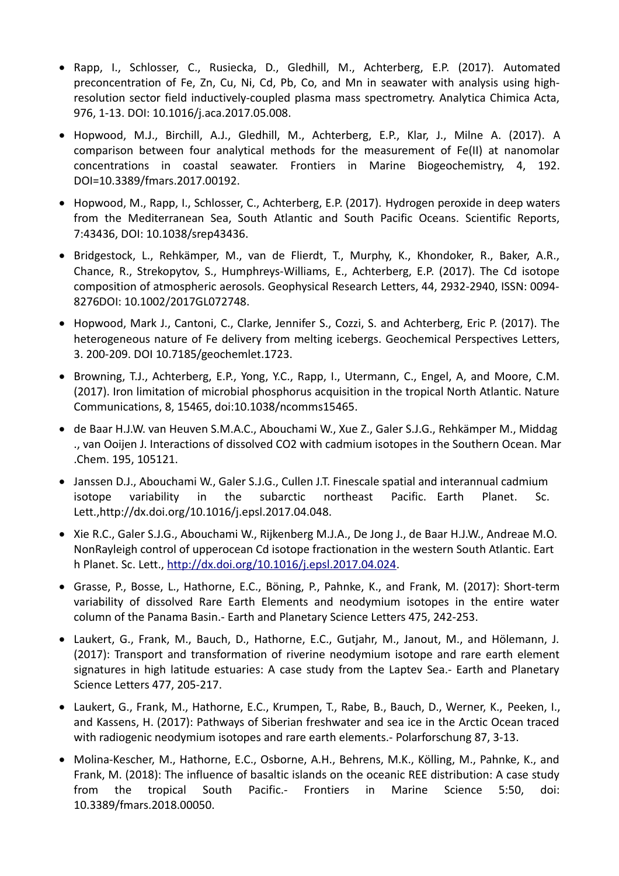- Rapp, I., Schlosser, C., Rusiecka, D., Gledhill, M., Achterberg, E.P. (2017). Automated preconcentration of Fe, Zn, Cu, Ni, Cd, Pb, Co, and Mn in seawater with analysis using highresolution sector field inductively-coupled plasma mass spectrometry. Analytica Chimica Acta, 976, 1-13. DOI: 10.1016/j.aca.2017.05.008.
- Hopwood, M.J., Birchill, A.J., Gledhill, M., Achterberg, E.P., Klar, J., Milne A. (2017). A comparison between four analytical methods for the measurement of Fe(II) at nanomolar concentrations in coastal seawater. Frontiers in Marine Biogeochemistry, 4, 192. DOI=10.3389/fmars.2017.00192.
- Hopwood, M., Rapp, I., Schlosser, C., Achterberg, E.P. (2017). Hydrogen peroxide in deep waters from the Mediterranean Sea, South Atlantic and South Pacific Oceans. Scientific Reports, 7:43436, DOI: 10.1038/srep43436.
- Bridgestock, L., Rehkämper, M., van de Flierdt, T., Murphy, K., Khondoker, R., Baker, A.R., Chance, R., Strekopytov, S., Humphreys-Williams, E., Achterberg, E.P. (2017). The Cd isotope composition of atmospheric aerosols. Geophysical Research Letters, 44, 2932-2940, ISSN: 0094- 8276DOI: 10.1002/2017GL072748.
- Hopwood, Mark J., Cantoni, C., Clarke, Jennifer S., Cozzi, S. and Achterberg, Eric P. (2017). The heterogeneous nature of Fe delivery from melting icebergs. Geochemical Perspectives Letters, 3. 200-209. DOI 10.7185/geochemlet.1723.
- Browning, T.J., Achterberg, E.P., Yong, Y.C., Rapp, I., Utermann, C., Engel, A, and Moore, C.M. (2017). Iron limitation of microbial phosphorus acquisition in the tropical North Atlantic. Nature Communications, 8, 15465, doi:10.1038/ncomms15465.
- de Baar H.J.W. van Heuven S.M.A.C., Abouchami W., Xue Z., Galer S.J.G., Rehkämper M., Middag ., van Ooijen J. Interactions of dissolved CO2 with cadmium isotopes in the Southern Ocean. Mar .Chem. 195, 105121.
- Janssen D.J., Abouchami W., Galer S.J.G., Cullen J.T. Finescale spatial and interannual cadmium isotope variability in the subarctic northeast Pacific. Earth Planet. Sc. Lett.,http://dx.doi.org/10.1016/j.epsl.2017.04.048.
- Xie R.C., Galer S.J.G., Abouchami W., Rijkenberg M.J.A., De Jong J., de Baar H.J.W., Andreae M.O. NonRayleigh control of upperocean Cd isotope fractionation in the western South Atlantic. Eart h Planet. Sc. Lett., [http://dx.doi.org/10.1016/j.epsl.2017.04.024.](http://dx.doi.org/10.1016/j.epsl.2017.04.024)
- Grasse, P., Bosse, L., Hathorne, E.C., Böning, P., Pahnke, K., and Frank, M. (2017): Short-term variability of dissolved Rare Earth Elements and neodymium isotopes in the entire water column of the Panama Basin.- Earth and Planetary Science Letters 475, 242-253.
- Laukert, G., Frank, M., Bauch, D., Hathorne, E.C., Gutjahr, M., Janout, M., and Hölemann, J. (2017): Transport and transformation of riverine neodymium isotope and rare earth element signatures in high latitude estuaries: A case study from the Laptev Sea.- Earth and Planetary Science Letters 477, 205-217.
- Laukert, G., Frank, M., Hathorne, E.C., Krumpen, T., Rabe, B., Bauch, D., Werner, K., Peeken, I., and Kassens, H. (2017): Pathways of Siberian freshwater and sea ice in the Arctic Ocean traced with radiogenic neodymium isotopes and rare earth elements.- Polarforschung 87, 3-13.
- Molina-Kescher, M., Hathorne, E.C., Osborne, A.H., Behrens, M.K., Kölling, M., Pahnke, K., and Frank, M. (2018): The influence of basaltic islands on the oceanic REE distribution: A case study from the tropical South Pacific.- Frontiers in Marine Science 5:50, doi: 10.3389/fmars.2018.00050.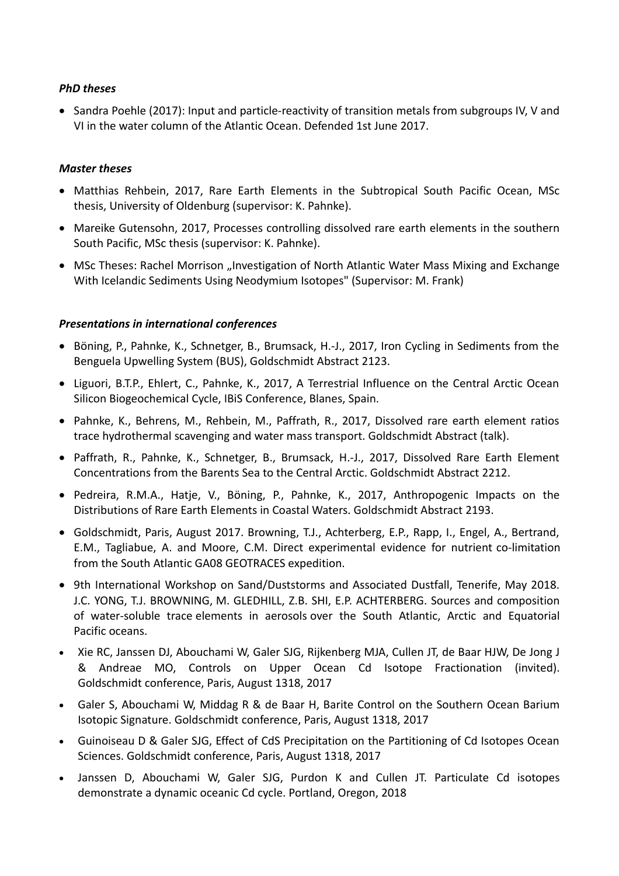## *PhD theses*

• Sandra Poehle (2017): Input and particle-reactivity of transition metals from subgroups IV, V and VI in the water column of the Atlantic Ocean. Defended 1st June 2017.

### *Master theses*

- Matthias Rehbein, 2017, Rare Earth Elements in the Subtropical South Pacific Ocean, MSc thesis, University of Oldenburg (supervisor: K. Pahnke).
- Mareike Gutensohn, 2017, Processes controlling dissolved rare earth elements in the southern South Pacific, MSc thesis (supervisor: K. Pahnke).
- MSc Theses: Rachel Morrison "Investigation of North Atlantic Water Mass Mixing and Exchange With Icelandic Sediments Using Neodymium Isotopes" (Supervisor: M. Frank)

## *Presentations in international conferences*

- Böning, P., Pahnke, K., Schnetger, B., Brumsack, H.-J., 2017, Iron Cycling in Sediments from the Benguela Upwelling System (BUS), Goldschmidt Abstract 2123.
- Liguori, B.T.P., Ehlert, C., Pahnke, K., 2017, A Terrestrial Influence on the Central Arctic Ocean Silicon Biogeochemical Cycle, IBiS Conference, Blanes, Spain.
- Pahnke, K., Behrens, M., Rehbein, M., Paffrath, R., 2017, Dissolved rare earth element ratios trace hydrothermal scavenging and water mass transport. Goldschmidt Abstract (talk).
- Paffrath, R., Pahnke, K., Schnetger, B., Brumsack, H.-J., 2017, Dissolved Rare Earth Element Concentrations from the Barents Sea to the Central Arctic. Goldschmidt Abstract 2212.
- Pedreira, R.M.A., Hatje, V., Böning, P., Pahnke, K., 2017, Anthropogenic Impacts on the Distributions of Rare Earth Elements in Coastal Waters. Goldschmidt Abstract 2193.
- Goldschmidt, Paris, August 2017. Browning, T.J., Achterberg, E.P., Rapp, I., Engel, A., Bertrand, E.M., Tagliabue, A. and Moore, C.M. Direct experimental evidence for nutrient co-limitation from the South Atlantic GA08 GEOTRACES expedition.
- 9th International Workshop on Sand/Duststorms and Associated Dustfall, Tenerife, May 2018. J.C. YONG, T.J. BROWNING, M. GLEDHILL, Z.B. SHI, E.P. ACHTERBERG. Sources and composition of water-soluble trace elements in aerosols over the South Atlantic, Arctic and Equatorial Pacific oceans.
- Xie RC, Janssen DJ, Abouchami W, Galer SJG, Rijkenberg MJA, Cullen JT, de Baar HJW, De Jong J & Andreae MO, Controls on Upper Ocean Cd Isotope Fractionation (invited). Goldschmidt conference, Paris, August 1318, 2017
- Galer S, Abouchami W, Middag R & de Baar H, Barite Control on the Southern Ocean Barium Isotopic Signature. Goldschmidt conference, Paris, August 1318, 2017
- Guinoiseau D & Galer SJG, Effect of CdS Precipitation on the Partitioning of Cd Isotopes Ocean Sciences. Goldschmidt conference, Paris, August 1318, 2017
- Janssen D, Abouchami W, Galer SJG, Purdon K and Cullen JT. Particulate Cd isotopes demonstrate a dynamic oceanic Cd cycle. Portland, Oregon, 2018